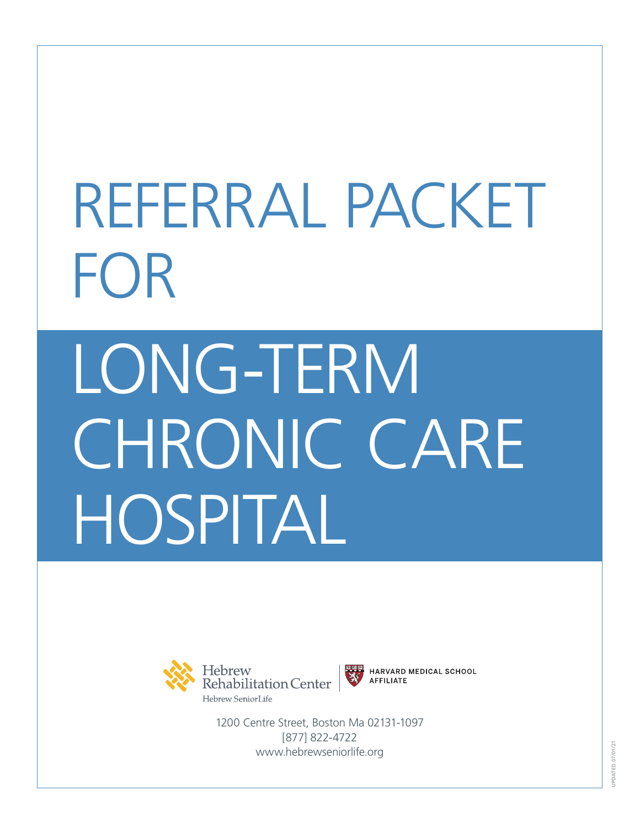# REFERRAL PACKET FOR LONG-TERM CHRONIC CARE HOSPITAL





HARVARD MEDICAL SCHOOL **AFFILIATE** 

1200 Centre Street, Boston Ma 02131-1097 [877] 822-4722 www.hebrewseniorlife.org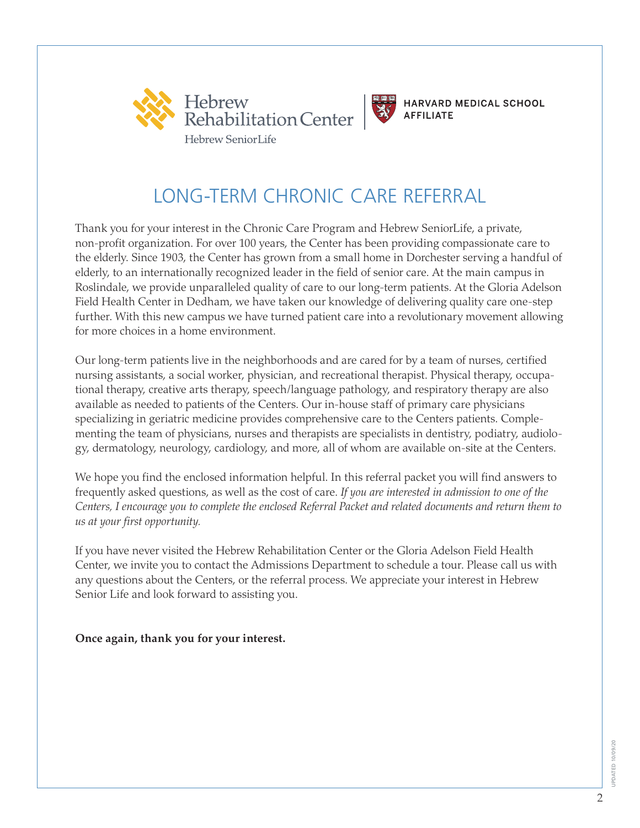



## LONG-TERM CHRONIC CARE REFERRAL

Thank you for your interest in the Chronic Care Program and Hebrew SeniorLife, a private, non-profit organization. For over 100 years, the Center has been providing compassionate care to the elderly. Since 1903, the Center has grown from a small home in Dorchester serving a handful of elderly, to an internationally recognized leader in the field of senior care. At the main campus in Roslindale, we provide unparalleled quality of care to our long-term patients. At the Gloria Adelson Field Health Center in Dedham, we have taken our knowledge of delivering quality care one-step further. With this new campus we have turned patient care into a revolutionary movement allowing for more choices in a home environment.

Our long-term patients live in the neighborhoods and are cared for by a team of nurses, certified nursing assistants, a social worker, physician, and recreational therapist. Physical therapy, occupational therapy, creative arts therapy, speech/language pathology, and respiratory therapy are also available as needed to patients of the Centers. Our in-house staff of primary care physicians specializing in geriatric medicine provides comprehensive care to the Centers patients. Complementing the team of physicians, nurses and therapists are specialists in dentistry, podiatry, audiology, dermatology, neurology, cardiology, and more, all of whom are available on-site at the Centers.

We hope you find the enclosed information helpful. In this referral packet you will find answers to frequently asked questions, as well as the cost of care. *If you are interested in admission to one of the Centers, I encourage you to complete the enclosed Referral Packet and related documents and return them to us at your first opportunity.* 

If you have never visited the Hebrew Rehabilitation Center or the Gloria Adelson Field Health Center, we invite you to contact the Admissions Department to schedule a tour. Please call us with any questions about the Centers, or the referral process. We appreciate your interest in Hebrew Senior Life and look forward to assisting you.

**Once again, thank you for your interest.**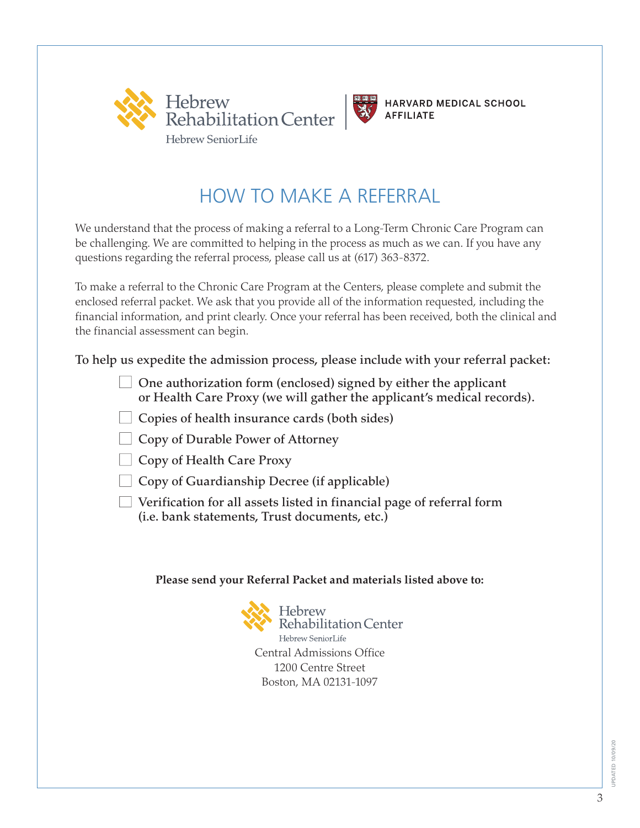



## HOW TO MAKE A REFERRAL

We understand that the process of making a referral to a Long-Term Chronic Care Program can be challenging. We are committed to helping in the process as much as we can. If you have any questions regarding the referral process, please call us at (617) 363-8372.

To make a referral to the Chronic Care Program at the Centers, please complete and submit the enclosed referral packet. We ask that you provide all of the information requested, including the financial information, and print clearly. Once your referral has been received, both the clinical and the financial assessment can begin.

To help us expedite the admission process, please include with your referral packet:

- $\Box$  One authorization form (enclosed) signed by either the applicant or Health Care Proxy (we will gather the applicant's medical records).
- $\Box$  Copies of health insurance cards (both sides)
- $\Box$  Copy of Durable Power of Attorney
- Copy of Health Care Proxy
- $\Box$  Copy of Guardianship Decree (if applicable)
- $\Box$  Verification for all assets listed in financial page of referral form (i.e. bank statements, Trust documents, etc.)

#### **Please send your Referral Packet and materials listed above to:**

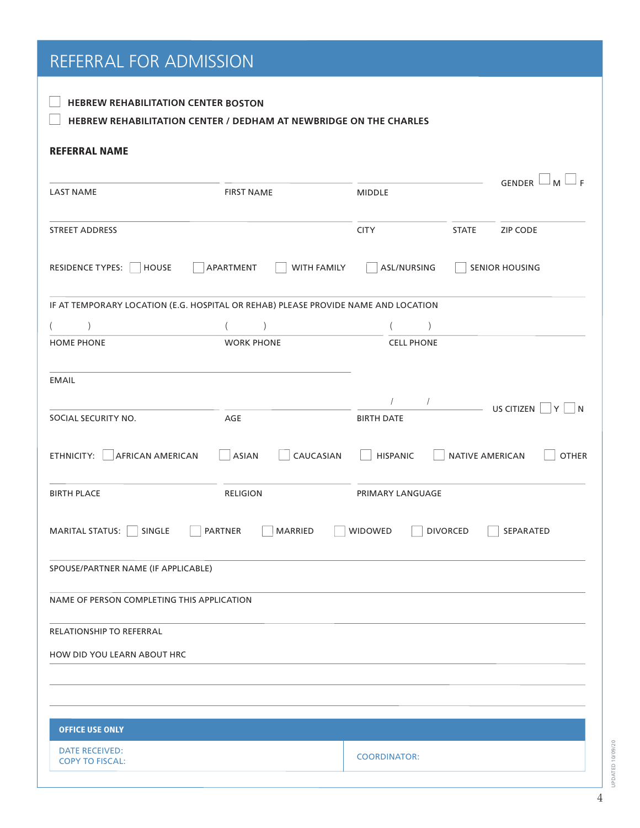## REFERRAL FOR ADMISSION

| <b>HEBREW REHABILITATION CENTER BOSTON</b> |  |
|--------------------------------------------|--|

## **HEBREW REHABILITATION CENTER / DEDHAM AT NEWBRIDGE ON THE CHARLES**

#### REFERRAL NAME

|                                                                                    |                                 |                             | ⊥ F                                    |
|------------------------------------------------------------------------------------|---------------------------------|-----------------------------|----------------------------------------|
| <b>LAST NAME</b><br><b>FIRST NAME</b>                                              |                                 | <b>MIDDLE</b>               | <b>GENDER</b><br>M <sup>1</sup>        |
| <b>STREET ADDRESS</b>                                                              |                                 | <b>CITY</b><br><b>STATE</b> | <b>ZIP CODE</b>                        |
| RESIDENCE TYPES:<br><b>HOUSE</b>                                                   | APARTMENT<br><b>WITH FAMILY</b> | ASL/NURSING                 | <b>SENIOR HOUSING</b>                  |
| IF AT TEMPORARY LOCATION (E.G. HOSPITAL OR REHAB) PLEASE PROVIDE NAME AND LOCATION |                                 |                             |                                        |
|                                                                                    |                                 |                             |                                        |
| <b>HOME PHONE</b>                                                                  | <b>WORK PHONE</b>               | <b>CELL PHONE</b>           |                                        |
| <b>EMAIL</b>                                                                       |                                 |                             |                                        |
|                                                                                    |                                 |                             | US CITIZEN<br>Y<br>l N                 |
| SOCIAL SECURITY NO.                                                                | AGE                             | <b>BIRTH DATE</b>           |                                        |
| ETHNICITY:<br><b>AFRICAN AMERICAN</b>                                              | ASIAN<br>CAUCASIAN              | <b>HISPANIC</b>             | <b>OTHER</b><br><b>NATIVE AMERICAN</b> |
| <b>BIRTH PLACE</b>                                                                 | <b>RELIGION</b>                 | PRIMARY LANGUAGE            |                                        |
| <b>MARITAL STATUS:</b><br>SINGLE                                                   | <b>PARTNER</b><br>MARRIED       | WIDOWED<br><b>DIVORCED</b>  | SEPARATED                              |
| SPOUSE/PARTNER NAME (IF APPLICABLE)                                                |                                 |                             |                                        |
| NAME OF PERSON COMPLETING THIS APPLICATION                                         |                                 |                             |                                        |
| RELATIONSHIP TO REFERRAL                                                           |                                 |                             |                                        |
| HOW DID YOU LEARN ABOUT HRC                                                        |                                 |                             |                                        |
|                                                                                    |                                 |                             |                                        |
|                                                                                    |                                 |                             |                                        |
| <b>OFFICE USE ONLY</b>                                                             |                                 |                             |                                        |
| <b>DATE RECEIVED:</b><br><b>COPY TO FISCAL:</b>                                    |                                 | <b>COORDINATOR:</b>         |                                        |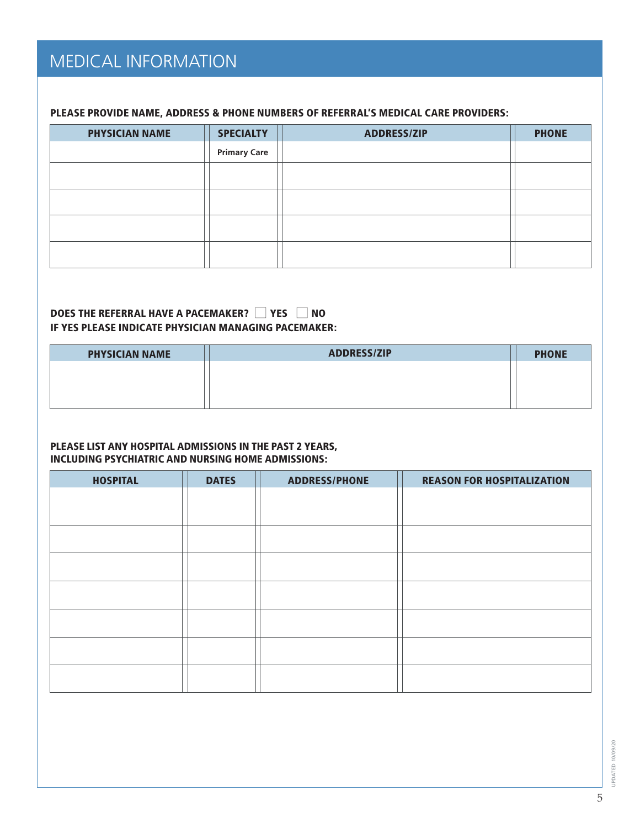## MEDICAL INFORMATION

#### PLEASE PROVIDE NAME, ADDRESS & PHONE NUMBERS OF REFERRAL'S MEDICAL CARE PROVIDERS:

| <b>PHYSICIAN NAME</b> | <b>SPECIALTY</b>    | <b>ADDRESS/ZIP</b> | <b>PHONE</b> |
|-----------------------|---------------------|--------------------|--------------|
|                       | <b>Primary Care</b> |                    |              |
|                       |                     |                    |              |
|                       |                     |                    |              |
|                       |                     |                    |              |
|                       |                     |                    |              |
|                       |                     |                    |              |

#### DOES THE REFERRAL HAVE A PACEMAKER?  $\Box$  YES  $\Box$  NO IF YES PLEASE INDICATE PHYSICIAN MANAGING PACEMAKER:

| <b>PHYSICIAN NAME</b> | <b>ADDRESS/ZIP</b> | <b>PHONE</b> |
|-----------------------|--------------------|--------------|
|                       |                    |              |
|                       |                    |              |
|                       |                    |              |

#### PLEASE LIST ANY HOSPITAL ADMISSIONS IN THE PAST 2 YEARS, INCLUDING PSYCHIATRIC AND NURSING HOME ADMISSIONS:

| <b>HOSPITAL</b> | <b>DATES</b> | <b>ADDRESS/PHONE</b> | <b>REASON FOR HOSPITALIZATION</b> |
|-----------------|--------------|----------------------|-----------------------------------|
|                 |              |                      |                                   |
|                 |              |                      |                                   |
|                 |              |                      |                                   |
|                 |              |                      |                                   |
|                 |              |                      |                                   |
|                 |              |                      |                                   |
|                 |              |                      |                                   |
|                 |              |                      |                                   |
|                 |              |                      |                                   |

JPDATED 10/09/20 UPDATED 10/09/20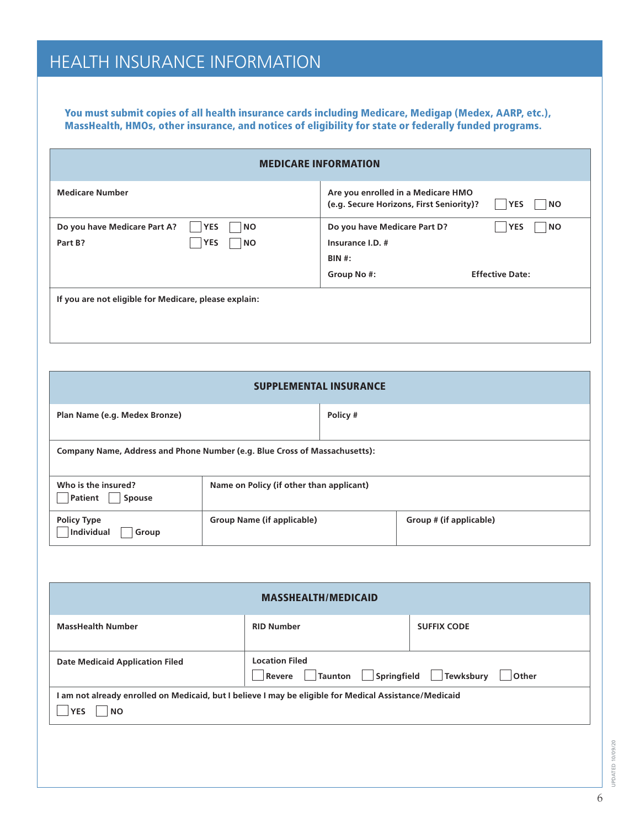## HEALTH INSURANCE INFORMATION

You must submit copies of all health insurance cards including Medicare, Medigap (Medex, AARP, etc.), MassHealth, HMOs, other insurance, and notices of eligibility for state or federally funded programs.

| <b>MEDICARE INFORMATION</b>                                                            |                                                                                                                                |  |  |  |  |
|----------------------------------------------------------------------------------------|--------------------------------------------------------------------------------------------------------------------------------|--|--|--|--|
| <b>Medicare Number</b>                                                                 | Are you enrolled in a Medicare HMO<br>(e.g. Secure Horizons, First Seniority)?<br><b>YES</b><br><b>NO</b>                      |  |  |  |  |
| <b>YES</b><br>Do you have Medicare Part A?<br><b>NO</b><br>YES<br>Part B?<br><b>NO</b> | Do you have Medicare Part D?<br><b>YES</b><br><b>NO</b><br>Insurance I.D. #<br>BIN #:<br><b>Effective Date:</b><br>Group No #: |  |  |  |  |
| If you are not eligible for Medicare, please explain:                                  |                                                                                                                                |  |  |  |  |

| <b>SUPPLEMENTAL INSURANCE</b>                                              |                                          |          |                         |  |  |  |
|----------------------------------------------------------------------------|------------------------------------------|----------|-------------------------|--|--|--|
| Plan Name (e.g. Medex Bronze)                                              |                                          | Policy # |                         |  |  |  |
| Company Name, Address and Phone Number (e.g. Blue Cross of Massachusetts): |                                          |          |                         |  |  |  |
| Who is the insured?<br>Patient<br>Spouse                                   | Name on Policy (if other than applicant) |          |                         |  |  |  |
| <b>Policy Type</b><br><b>Individual</b><br>Group                           | Group Name (if applicable)               |          | Group # (if applicable) |  |  |  |

| <b>MASSHEALTH/MEDICAID</b>                                                                                                              |                   |                    |  |  |  |  |
|-----------------------------------------------------------------------------------------------------------------------------------------|-------------------|--------------------|--|--|--|--|
| <b>MassHealth Number</b>                                                                                                                | <b>RID Number</b> | <b>SUFFIX CODE</b> |  |  |  |  |
| <b>Location Filed</b><br><b>Date Medicaid Application Filed</b><br>$\Box$ Springfield<br>Tewksbury<br><b>Taunton</b><br>Revere<br>Other |                   |                    |  |  |  |  |
| I am not already enrolled on Medicaid, but I believe I may be eligible for Medical Assistance/Medicaid<br><b>YES</b><br><b>NO</b>       |                   |                    |  |  |  |  |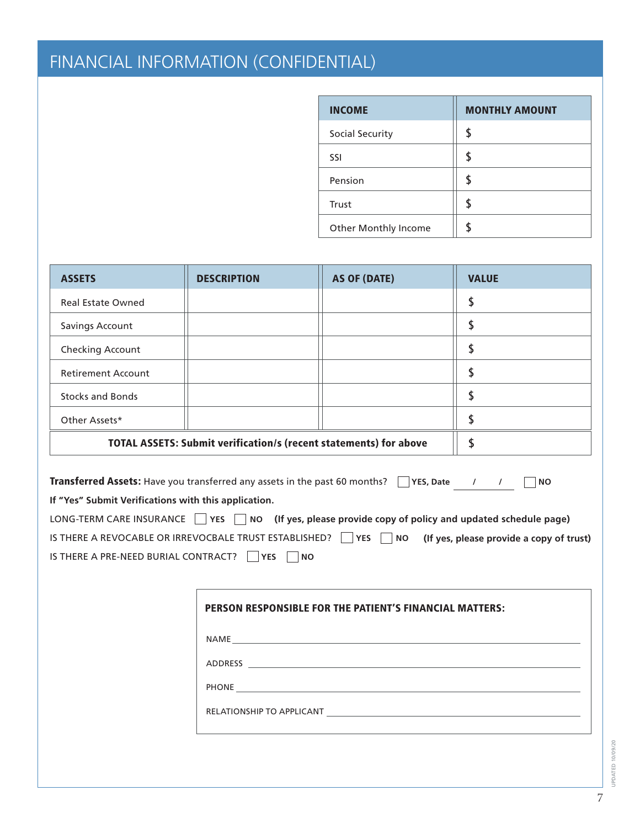# FINANCIAL INFORMATION (CONFIDENTIAL)

| <b>INCOME</b>               | <b>MONTHLY AMOUNT</b> |
|-----------------------------|-----------------------|
| Social Security             |                       |
| SSI                         |                       |
| Pension                     |                       |
| Trust                       |                       |
| <b>Other Monthly Income</b> |                       |

| <b>ASSETS</b>             | <b>DESCRIPTION</b>                                                | <b>AS OF (DATE)</b>                                                                                                                                                                                                                  | <b>VALUE</b>                                                                                                                                                                                                                            |
|---------------------------|-------------------------------------------------------------------|--------------------------------------------------------------------------------------------------------------------------------------------------------------------------------------------------------------------------------------|-----------------------------------------------------------------------------------------------------------------------------------------------------------------------------------------------------------------------------------------|
| <b>Real Estate Owned</b>  |                                                                   |                                                                                                                                                                                                                                      | \$                                                                                                                                                                                                                                      |
| <b>Savings Account</b>    |                                                                   |                                                                                                                                                                                                                                      | \$                                                                                                                                                                                                                                      |
| Checking Account          |                                                                   |                                                                                                                                                                                                                                      | \$                                                                                                                                                                                                                                      |
| <b>Retirement Account</b> |                                                                   |                                                                                                                                                                                                                                      | \$                                                                                                                                                                                                                                      |
| <b>Stocks and Bonds</b>   |                                                                   |                                                                                                                                                                                                                                      | \$                                                                                                                                                                                                                                      |
| Other Assets*             |                                                                   |                                                                                                                                                                                                                                      | \$                                                                                                                                                                                                                                      |
|                           | TOTAL ASSETS: Submit verification/s (recent statements) for above |                                                                                                                                                                                                                                      | \$                                                                                                                                                                                                                                      |
|                           | IS THERE A PRE-NEED BURIAL CONTRACT?     YES   NO                 |                                                                                                                                                                                                                                      | LONG-TERM CARE INSURANCE $\Box$ YES $\Box$ NO (If yes, please provide copy of policy and updated schedule page)<br>IS THERE A REVOCABLE OR IRREVOCBALE TRUST ESTABLISHED? $\Box$ YES $\Box$ NO (If yes, please provide a copy of trust) |
|                           |                                                                   | <b>PERSON RESPONSIBLE FOR THE PATIENT'S FINANCIAL MATTERS:</b>                                                                                                                                                                       |                                                                                                                                                                                                                                         |
|                           |                                                                   |                                                                                                                                                                                                                                      |                                                                                                                                                                                                                                         |
|                           |                                                                   |                                                                                                                                                                                                                                      |                                                                                                                                                                                                                                         |
|                           |                                                                   | PHONE <u>in the contract of the contract of the contract of the contract of the contract of the contract of the contract of the contract of the contract of the contract of the contract of the contract of the contract of the </u> |                                                                                                                                                                                                                                         |
|                           |                                                                   | RELATIONSHIP TO APPLICANT THE RELATIONSHIP OF A STATE OF A STATE OF A STATE OF A STATE OF A STATE OF A STATE O                                                                                                                       |                                                                                                                                                                                                                                         |

UPDATED 10/09/20 UPDATED 10/09/20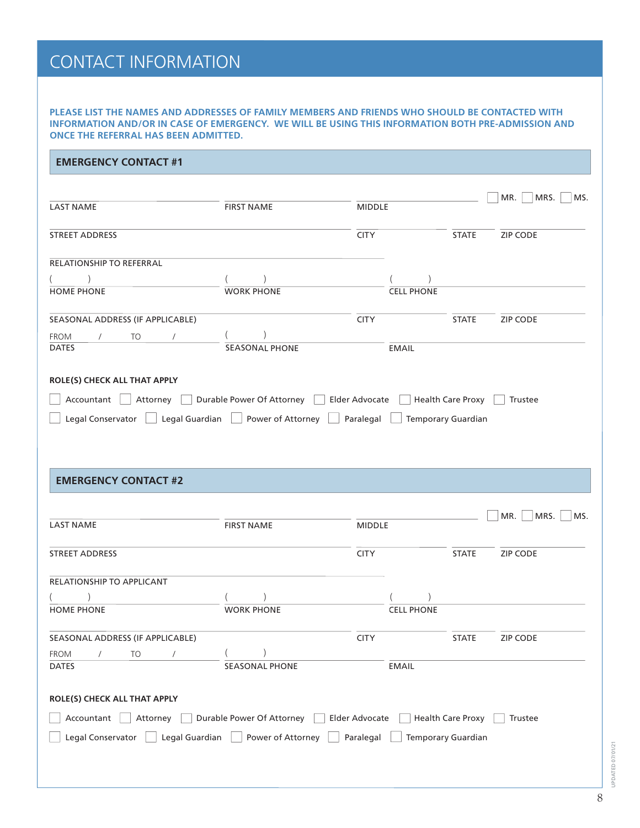## CONTACT INFORMATION

**PLEASE LIST THE NAMES AND ADDRESSES OF FAMILY MEMBERS AND FRIENDS WHO SHOULD BE CONTACTED WITH INFORMATION AND/OR IN CASE OF EMERGENCY. WE WILL BE USING THIS INFORMATION BOTH PRE-ADMISSION AND ONCE THE REFERRAL HAS BEEN ADMITTED.**

#### **EMERGENCY CONTACT #1**

| <b>LAST NAME</b>                                                                        | <b>FIRST NAME</b>                          | <b>MIDDLE</b> |                   |                           | MR.<br>MRS.<br>MS. |
|-----------------------------------------------------------------------------------------|--------------------------------------------|---------------|-------------------|---------------------------|--------------------|
| <b>STREET ADDRESS</b>                                                                   |                                            | <b>CITY</b>   |                   | <b>STATE</b>              | <b>ZIP CODE</b>    |
| RELATIONSHIP TO REFERRAL                                                                |                                            |               |                   |                           |                    |
|                                                                                         |                                            |               |                   |                           |                    |
| <b>HOME PHONE</b>                                                                       | <b>WORK PHONE</b>                          |               | <b>CELL PHONE</b> |                           |                    |
| SEASONAL ADDRESS (IF APPLICABLE)                                                        |                                            | <b>CITY</b>   |                   | <b>STATE</b>              | ZIP CODE           |
| FROM<br>$\sqrt{2}$<br>TO<br>$\sqrt{2}$                                                  |                                            |               |                   |                           |                    |
| <b>DATES</b>                                                                            | SEASONAL PHONE                             |               | <b>EMAIL</b>      |                           |                    |
| ROLE(S) CHECK ALL THAT APPLY                                                            |                                            |               |                   |                           |                    |
| Accountant Attorney Durable Power Of Attorney Blder Advocate Health Care Proxy          |                                            |               |                   |                           | Trustee            |
| Legal Conservator   Legal Guardian   Power of Attorney   Paralegal   Temporary Guardian |                                            |               |                   |                           |                    |
|                                                                                         |                                            |               |                   |                           |                    |
| <b>EMERGENCY CONTACT #2</b><br><b>LAST NAME</b>                                         |                                            |               |                   |                           | MR.<br>MRS.        |
|                                                                                         | <b>FIRST NAME</b>                          | <b>MIDDLE</b> |                   |                           | MS.                |
| STREET ADDRESS                                                                          |                                            | <b>CITY</b>   |                   | <b>STATE</b>              | ZIP CODE           |
| RELATIONSHIP TO APPLICANT                                                               |                                            |               |                   |                           |                    |
|                                                                                         |                                            |               |                   |                           |                    |
| <b>HOME PHONE</b>                                                                       | <b>WORK PHONE</b>                          |               | <b>CELL PHONE</b> |                           |                    |
| SEASONAL ADDRESS (IF APPLICABLE)                                                        |                                            | <b>CITY</b>   |                   | <b>STATE</b>              | ZIP CODE           |
| FROM<br>TO                                                                              |                                            |               |                   |                           |                    |
| <b>DATES</b>                                                                            | <b>SEASONAL PHONE</b>                      |               | <b>EMAIL</b>      |                           |                    |
| ROLE(S) CHECK ALL THAT APPLY                                                            |                                            |               |                   |                           |                    |
| Accountant<br>Attorney                                                                  | Durable Power Of Attorney   Elder Advocate |               |                   | <b>Health Care Proxy</b>  | Trustee            |
| Legal Guardian<br>Legal Conservator                                                     | Power of Attorney                          | Paralegal     |                   | <b>Temporary Guardian</b> |                    |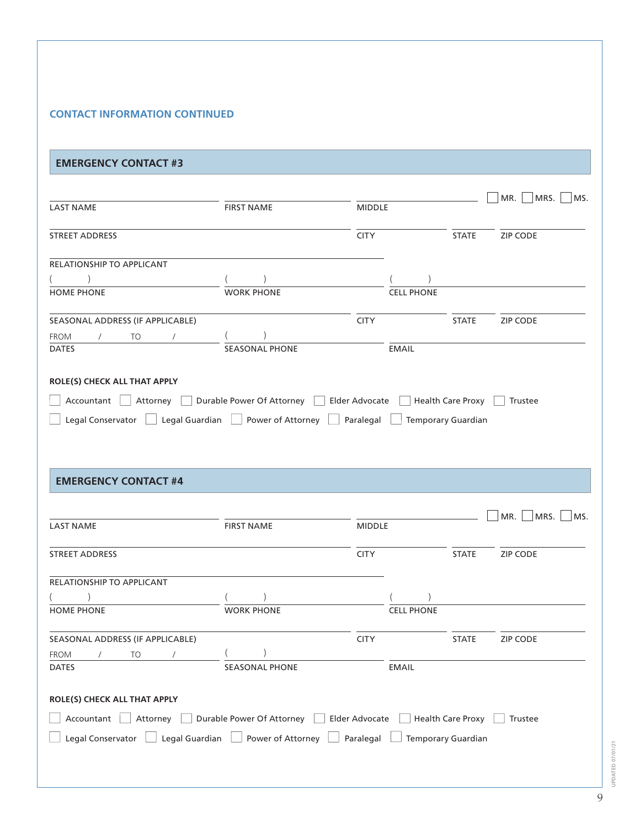#### **CONTACT INFORMATION CONTINUED**

#### **EMERGENCY CONTACT #3**

| <b>LAST NAME</b>                                                                       | <b>FIRST NAME</b>                                                                 | <b>MIDDLE</b> |                   |                           | MR.<br>MRS.<br>MS. |
|----------------------------------------------------------------------------------------|-----------------------------------------------------------------------------------|---------------|-------------------|---------------------------|--------------------|
|                                                                                        |                                                                                   |               |                   |                           |                    |
| <b>STREET ADDRESS</b>                                                                  |                                                                                   | <b>CITY</b>   |                   | <b>STATE</b>              | <b>ZIP CODE</b>    |
| RELATIONSHIP TO APPLICANT                                                              |                                                                                   |               |                   |                           |                    |
|                                                                                        |                                                                                   |               |                   |                           |                    |
| <b>HOME PHONE</b>                                                                      | <b>WORK PHONE</b>                                                                 |               | <b>CELL PHONE</b> |                           |                    |
| SEASONAL ADDRESS (IF APPLICABLE)                                                       |                                                                                   | <b>CITY</b>   |                   | <b>STATE</b>              | <b>ZIP CODE</b>    |
| FROM<br>$\sqrt{2}$<br>TO<br>$\prime$                                                   |                                                                                   |               |                   |                           |                    |
| <b>DATES</b>                                                                           | <b>SEASONAL PHONE</b>                                                             |               | <b>EMAIL</b>      |                           |                    |
| Legal Conservator                                                                      | $\hfill\Box$ Legal Guardian $\hfill\Box$ Power of Attorney $\hfill\Box$ Paralegal |               |                   | <b>Temporary Guardian</b> |                    |
| <b>EMERGENCY CONTACT #4</b>                                                            |                                                                                   |               |                   |                           |                    |
|                                                                                        |                                                                                   |               |                   |                           |                    |
| <b>LAST NAME</b>                                                                       | <b>FIRST NAME</b>                                                                 | <b>MIDDLE</b> |                   |                           | MR.<br>MRS.<br>MS. |
| <b>STREET ADDRESS</b>                                                                  |                                                                                   | <b>CITY</b>   |                   | <b>STATE</b>              | ZIP CODE           |
| RELATIONSHIP TO APPLICANT                                                              |                                                                                   |               |                   |                           |                    |
|                                                                                        |                                                                                   |               |                   |                           |                    |
| <b>HOME PHONE</b>                                                                      | <b>WORK PHONE</b>                                                                 |               | <b>CELL PHONE</b> |                           |                    |
| SEASONAL ADDRESS (IF APPLICABLE)                                                       |                                                                                   | <b>CITY</b>   |                   | <b>STATE</b>              | <b>ZIP CODE</b>    |
| <b>FROM</b><br>TO<br>$\sqrt{2}$                                                        |                                                                                   |               |                   |                           |                    |
| <b>DATES</b>                                                                           | <b>SEASONAL PHONE</b>                                                             |               | <b>EMAIL</b>      |                           |                    |
| ROLE(S) CHECK ALL THAT APPLY                                                           |                                                                                   |               |                   |                           |                    |
| Accountant   Attorney   Durable Power Of Attorney   Elder Advocate   Health Care Proxy |                                                                                   |               |                   |                           | Trustee            |
| Legal Conservator   Legal Guardian   Power of Attorney   Paralegal                     |                                                                                   |               |                   | Temporary Guardian        |                    |
|                                                                                        |                                                                                   |               |                   |                           |                    |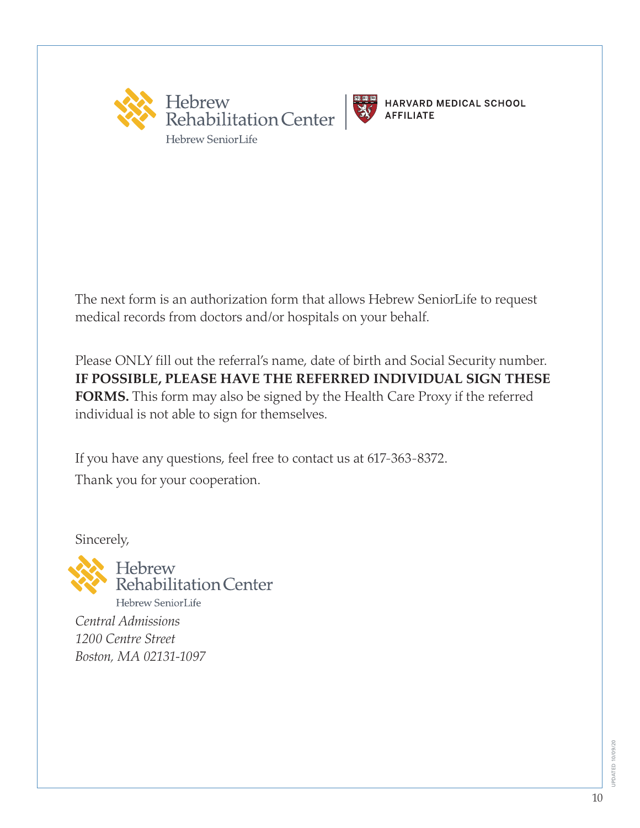



The next form is an authorization form that allows Hebrew SeniorLife to request medical records from doctors and/or hospitals on your behalf.

Please ONLY fill out the referral's name, date of birth and Social Security number. **IF POSSIBLE, PLEASE HAVE THE REFERRED INDIVIDUAL SIGN THESE FORMS.** This form may also be signed by the Health Care Proxy if the referred individual is not able to sign for themselves.

If you have any questions, feel free to contact us at 617-363-8372. Thank you for your cooperation.

Sincerely,

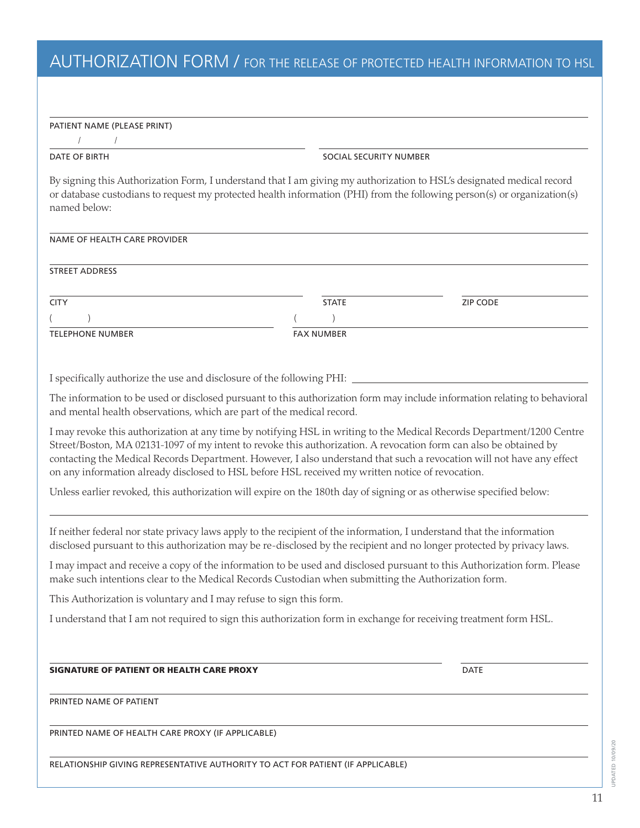## AUTHORIZATION FORM / FOR THE RELEASE OF PROTECTED HEALTH INFORMATION TO HSL

|  | PATIENT NAME (PLEASE PRINT) |
|--|-----------------------------|
|--|-----------------------------|

/ /

DATE OF BIRTH SOCIAL SECURITY NUMBER

By signing this Authorization Form, I understand that I am giving my authorization to HSL's designated medical record or database custodians to request my protected health information (PHI) from the following person(s) or organization(s) named below:

#### NAME OF HEALTH CARE PROVIDER

STREET ADDRESS

| <b>CITY</b>             | <b>STATE</b>      | <b>ZIP CODE</b> |
|-------------------------|-------------------|-----------------|
|                         |                   |                 |
| <b>TELEPHONE NUMBER</b> | <b>FAX NUMBER</b> |                 |

I specifically authorize the use and disclosure of the following PHI:

The information to be used or disclosed pursuant to this authorization form may include information relating to behavioral and mental health observations, which are part of the medical record.

I may revoke this authorization at any time by notifying HSL in writing to the Medical Records Department/1200 Centre Street/Boston, MA 02131-1097 of my intent to revoke this authorization. A revocation form can also be obtained by contacting the Medical Records Department. However, I also understand that such a revocation will not have any effect on any information already disclosed to HSL before HSL received my written notice of revocation.

Unless earlier revoked, this authorization will expire on the 180th day of signing or as otherwise specified below:

If neither federal nor state privacy laws apply to the recipient of the information, I understand that the information disclosed pursuant to this authorization may be re-disclosed by the recipient and no longer protected by privacy laws.

I may impact and receive a copy of the information to be used and disclosed pursuant to this Authorization form. Please make such intentions clear to the Medical Records Custodian when submitting the Authorization form.

This Authorization is voluntary and I may refuse to sign this form.

I understand that I am not required to sign this authorization form in exchange for receiving treatment form HSL.

#### SIGNATURE OF PATIENT OR HEALTH CARE PROXY **EXAMPLE 20 YO FACTS** DATE

PRINTED NAME OF PATIENT

PRINTED NAME OF HEALTH CARE PROXY (IF APPLICABLE)

RELATIONSHIP GIVING REPRESENTATIVE AUTHORITY TO ACT FOR PATIENT (IF APPLICABLE)

UPDATED 10/09/20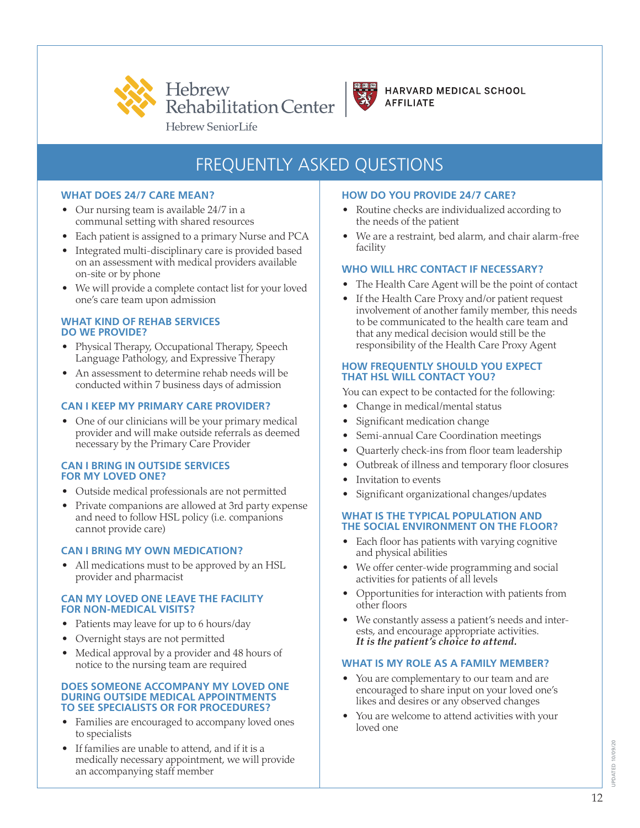



## FREQUENTLY ASKED QUESTIONS

#### **WHAT DOES 24/7 CARE MEAN?**

- Our nursing team is available 24/7 in a communal setting with shared resources
- Each patient is assigned to a primary Nurse and PCA
- Integrated multi-disciplinary care is provided based on an assessment with medical providers available on-site or by phone
- We will provide a complete contact list for your loved one's care team upon admission

#### **WHAT KIND OF REHAB SERVICES DO WE PROVIDE?**

- Physical Therapy, Occupational Therapy, Speech Language Pathology, and Expressive Therapy
- An assessment to determine rehab needs will be conducted within 7 business days of admission

#### **CAN I KEEP MY PRIMARY CARE PROVIDER?**

• One of our clinicians will be your primary medical provider and will make outside referrals as deemed necessary by the Primary Care Provider

#### **CAN I BRING IN OUTSIDE SERVICES FOR MY LOVED ONE?**

- Outside medical professionals are not permitted
- Private companions are allowed at 3rd party expense and need to follow HSL policy (i.e. companions cannot provide care)

#### **CAN I BRING MY OWN MEDICATION?**

• All medications must to be approved by an HSL provider and pharmacist

#### **CAN MY LOVED ONE LEAVE THE FACILITY FOR NON-MEDICAL VISITS?**

- Patients may leave for up to 6 hours/day
- Overnight stays are not permitted
- Medical approval by a provider and 48 hours of notice to the nursing team are required

#### **DOES SOMEONE ACCOMPANY MY LOVED ONE DURING OUTSIDE MEDICAL APPOINTMENTS TO SEE SPECIALISTS OR FOR PROCEDURES?**

- Families are encouraged to accompany loved ones to specialists
- If families are unable to attend, and if it is a medically necessary appointment, we will provide an accompanying staff member

#### **HOW DO YOU PROVIDE 24/7 CARE?**

- Routine checks are individualized according to the needs of the patient
- We are a restraint, bed alarm, and chair alarm-free facility

#### **WHO WILL HRC CONTACT IF NECESSARY?**

- The Health Care Agent will be the point of contact
- If the Health Care Proxy and/or patient request involvement of another family member, this needs to be communicated to the health care team and that any medical decision would still be the responsibility of the Health Care Proxy Agent

#### **HOW FREQUENTLY SHOULD YOU EXPECT THAT HSL WILL CONTACT YOU?**

You can expect to be contacted for the following:

- Change in medical/mental status
- Significant medication change
- Semi-annual Care Coordination meetings
- Quarterly check-ins from floor team leadership
- Outbreak of illness and temporary floor closures
- Invitation to events
- Significant organizational changes/updates

#### **WHAT IS THE TYPICAL POPULATION AND THE SOCIAL ENVIRONMENT ON THE FLOOR?**

- Each floor has patients with varying cognitive and physical abilities
- We offer center-wide programming and social activities for patients of all levels
- Opportunities for interaction with patients from other floors
- We constantly assess a patient's needs and interests, and encourage appropriate activities. *It is the patient's choice to attend.*

#### **WHAT IS MY ROLE AS A FAMILY MEMBER?**

- You are complementary to our team and are encouraged to share input on your loved one's likes and desires or any observed changes
- You are welcome to attend activities with your loved one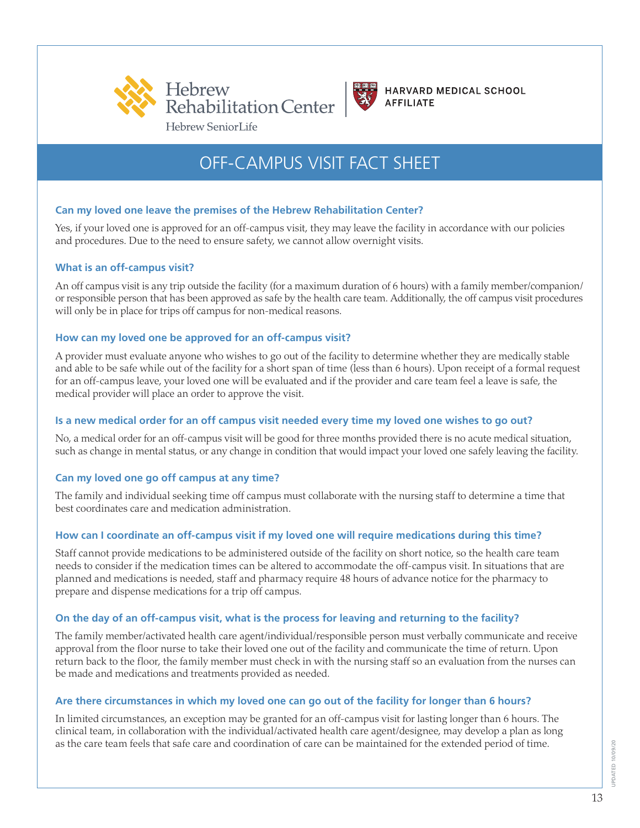



## OFF-CAMPUS VISIT FACT SHEET

#### **Can my loved one leave the premises of the Hebrew Rehabilitation Center?**

Yes, if your loved one is approved for an off-campus visit, they may leave the facility in accordance with our policies and procedures. Due to the need to ensure safety, we cannot allow overnight visits.

#### **What is an off-campus visit?**

An off campus visit is any trip outside the facility (for a maximum duration of 6 hours) with a family member/companion/ or responsible person that has been approved as safe by the health care team. Additionally, the off campus visit procedures will only be in place for trips off campus for non-medical reasons.

#### **How can my loved one be approved for an off-campus visit?**

A provider must evaluate anyone who wishes to go out of the facility to determine whether they are medically stable and able to be safe while out of the facility for a short span of time (less than 6 hours). Upon receipt of a formal request for an off-campus leave, your loved one will be evaluated and if the provider and care team feel a leave is safe, the medical provider will place an order to approve the visit.

#### **Is a new medical order for an off campus visit needed every time my loved one wishes to go out?**

No, a medical order for an off-campus visit will be good for three months provided there is no acute medical situation, such as change in mental status, or any change in condition that would impact your loved one safely leaving the facility.

#### **Can my loved one go off campus at any time?**

The family and individual seeking time off campus must collaborate with the nursing staff to determine a time that best coordinates care and medication administration.

#### **How can I coordinate an off-campus visit if my loved one will require medications during this time?**

Staff cannot provide medications to be administered outside of the facility on short notice, so the health care team needs to consider if the medication times can be altered to accommodate the off-campus visit. In situations that are planned and medications is needed, staff and pharmacy require 48 hours of advance notice for the pharmacy to prepare and dispense medications for a trip off campus.

#### **On the day of an off-campus visit, what is the process for leaving and returning to the facility?**

The family member/activated health care agent/individual/responsible person must verbally communicate and receive approval from the floor nurse to take their loved one out of the facility and communicate the time of return. Upon return back to the floor, the family member must check in with the nursing staff so an evaluation from the nurses can be made and medications and treatments provided as needed.

#### **Are there circumstances in which my loved one can go out of the facility for longer than 6 hours?**

In limited circumstances, an exception may be granted for an off-campus visit for lasting longer than 6 hours. The clinical team, in collaboration with the individual/activated health care agent/designee, may develop a plan as long as the care team feels that safe care and coordination of care can be maintained for the extended period of time.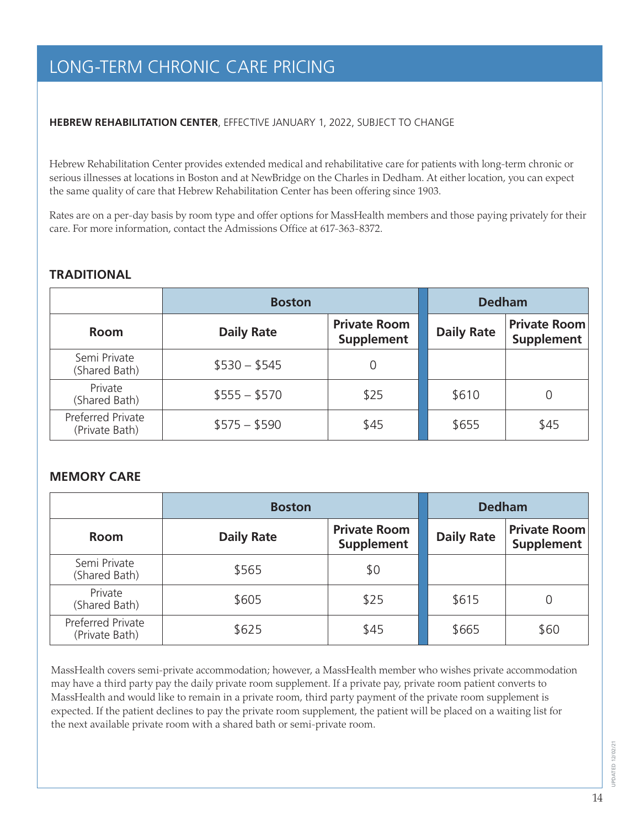## LONG-TERM CHRONIC CARE PRICING

#### **HEBREW REHABILITATION CENTER**, EFFECTIVE JANUARY 1, 2022, SUBJECT TO CHANGE

Hebrew Rehabilitation Center provides extended medical and rehabilitative care for patients with long-term chronic or serious illnesses at locations in Boston and at NewBridge on the Charles in Dedham. At either location, you can expect the same quality of care that Hebrew Rehabilitation Center has been offering since 1903.

Rates are on a per-day basis by room type and offer options for MassHealth members and those paying privately for their care. For more information, contact the Admissions Office at 617-363-8372.

#### **TRADITIONAL**

|                                     | <b>Boston</b>     | <b>Dedham</b>                     |       |                                          |
|-------------------------------------|-------------------|-----------------------------------|-------|------------------------------------------|
| <b>Room</b>                         | <b>Daily Rate</b> | <b>Private Room</b><br>Supplement |       | <b>Private Room</b><br><b>Supplement</b> |
| Semi Private<br>(Shared Bath)       | $$530 - $545$     |                                   |       |                                          |
| Private<br>(Shared Bath)            | $$555 - $570$     | \$25                              | \$610 |                                          |
| Preferred Private<br>(Private Bath) | $$575 - $590$     | \$45                              | \$655 | \$45                                     |

#### **MEMORY CARE**

|                                     | <b>Boston</b>     | <b>Dedham</b>                            |                   |                                          |
|-------------------------------------|-------------------|------------------------------------------|-------------------|------------------------------------------|
| <b>Room</b>                         | <b>Daily Rate</b> | <b>Private Room</b><br><b>Supplement</b> | <b>Daily Rate</b> | <b>Private Room</b><br><b>Supplement</b> |
| Semi Private<br>(Shared Bath)       | \$565             | \$0                                      |                   |                                          |
| Private<br>(Shared Bath)            | \$605             | \$25                                     | \$615             | 0                                        |
| Preferred Private<br>(Private Bath) | \$625             | \$45                                     | \$665             | \$60                                     |

MassHealth covers semi-private accommodation; however, a MassHealth member who wishes private accommodation may have a third party pay the daily private room supplement. If a private pay, private room patient converts to MassHealth and would like to remain in a private room, third party payment of the private room supplement is expected. If the patient declines to pay the private room supplement, the patient will be placed on a waiting list for the next available private room with a shared bath or semi-private room.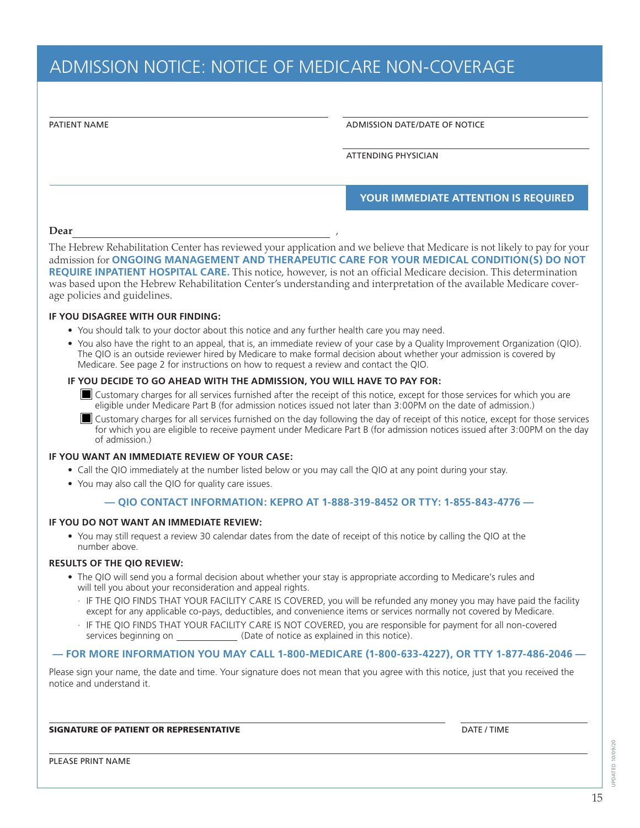## ADMISSION NOTICE: NOTICE OF MEDICARE NON-COVERAGE

ADMISSION DATE/DATE OF NOTICE

ATTENDING PHYSICIAN

#### **YOUR IMMEDIATE ATTENTION IS REQUIRED**

#### **Dear** ,

The Hebrew Rehabilitation Center has reviewed your application and we believe that Medicare is not likely to pay for your admission for **ONGOING MANAGEMENT AND THERAPEUTIC CARE FOR YOUR MEDICAL CONDITION(S) DO NOT REQUIRE INPATIENT HOSPITAL CARE.** This notice, however, is not an official Medicare decision. This determination was based upon the Hebrew Rehabilitation Center's understanding and interpretation of the available Medicare coverage policies and guidelines.

#### **IF YOU DISAGREE WITH OUR FINDING:**

- You should talk to your doctor about this notice and any further health care you may need.
- You also have the right to an appeal, that is, an immediate review of your case by a Quality Improvement Organization (QIO). The QIO is an outside reviewer hired by Medicare to make formal decision about whether your admission is covered by Medicare. See page 2 for instructions on how to request a review and contact the QIO.

#### **IF YOU DECIDE TO GO AHEAD WITH THE ADMISSION, YOU WILL HAVE TO PAY FOR:**

- $\blacksquare$  Customary charges for all services furnished after the receipt of this notice, except for those services for which you are eligible under Medicare Part B (for admission notices issued not later than 3:00PM on the date of admission.)
- Customary charges for all services furnished on the day following the day of receipt of this notice, except for those services for which you are eligible to receive payment under Medicare Part B (for admission notices issued after 3:00PM on the day of admission.)

#### **IF YOU WANT AN IMMEDIATE REVIEW OF YOUR CASE:**

- Call the QIO immediately at the number listed below or you may call the QIO at any point during your stay.
- You may also call the QIO for quality care issues.

#### **— QIO CONTACT INFORMATION: KEPRO AT 1-888-319-8452 OR TTY: 1-855-843-4776 —**

#### **IF YOU DO NOT WANT AN IMMEDIATE REVIEW:**

• You may still request a review 30 calendar dates from the date of receipt of this notice by calling the QIO at the number above.

#### **RESULTS OF THE QIO REVIEW:**

- The QIO will send you a formal decision about whether your stay is appropriate according to Medicare's rules and will tell you about your reconsideration and appeal rights.
	- · IF THE QIO FINDS THAT YOUR FACILITY CARE IS COVERED, you will be refunded any money you may have paid the facility except for any applicable co-pays, deductibles, and convenience items or services normally not covered by Medicare.
	- · IF THE QIO FINDS THAT YOUR FACILITY CARE IS NOT COVERED, you are responsible for payment for all non-covered services beginning on \_\_\_\_\_\_\_\_\_\_\_\_\_\_\_ (Date of notice as explained in this notice).

#### **— FOR MORE INFORMATION YOU MAY CALL 1-800-MEDICARE (1-800-633-4227), OR TTY 1-877-486-2046 —**

Please sign your name, the date and time. Your signature does not mean that you agree with this notice, just that you received the notice and understand it.

#### SIGNATURE OF PATIENT OR REPRESENTATIVE **Example 20 and 20 and 20 and 20 and 20 and 20 and 20 and 20 and 20 and 20 and 20 and 20 and 20 and 20 and 20 and 20 and 20 and 20 and 20 and 20 and 20 and 20 and 20 and 20 and 20 and**

PLEASE PRINT NAME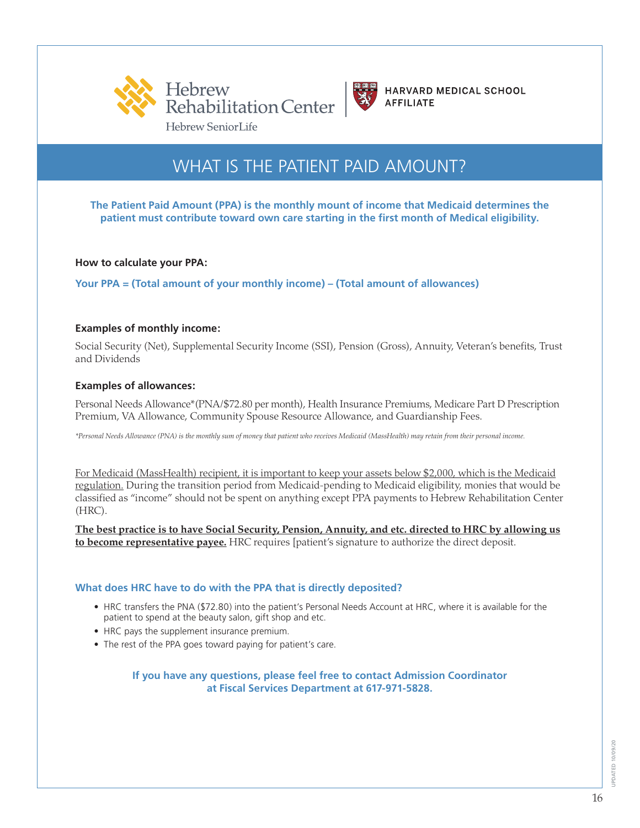



## WHAT IS THE PATIENT PAID AMOUNT?

**The Patient Paid Amount (PPA) is the monthly mount of income that Medicaid determines the patient must contribute toward own care starting in the first month of Medical eligibility.**

**How to calculate your PPA:**

**Your PPA = (Total amount of your monthly income) – (Total amount of allowances)**

#### **Examples of monthly income:**

Social Security (Net), Supplemental Security Income (SSI), Pension (Gross), Annuity, Veteran's benefits, Trust and Dividends

#### **Examples of allowances:**

Personal Needs Allowance\*(PNA/\$72.80 per month), Health Insurance Premiums, Medicare Part D Prescription Premium, VA Allowance, Community Spouse Resource Allowance, and Guardianship Fees.

*\*Personal Needs Allowance (PNA) is the monthly sum of money that patient who receives Medicaid (MassHealth) may retain from their personal income.*

For Medicaid (MassHealth) recipient, it is important to keep your assets below \$2,000, which is the Medicaid regulation. During the transition period from Medicaid-pending to Medicaid eligibility, monies that would be classified as "income" should not be spent on anything except PPA payments to Hebrew Rehabilitation Center (HRC).

**The best practice is to have Social Security, Pension, Annuity, and etc. directed to HRC by allowing us to become representative payee.** HRC requires [patient's signature to authorize the direct deposit.

#### **What does HRC have to do with the PPA that is directly deposited?**

- HRC transfers the PNA (\$72.80) into the patient's Personal Needs Account at HRC, where it is available for the patient to spend at the beauty salon, gift shop and etc.
- HRC pays the supplement insurance premium.
- The rest of the PPA goes toward paying for patient's care.

#### **If you have any questions, please feel free to contact Admission Coordinator at Fiscal Services Department at 617-971-5828.**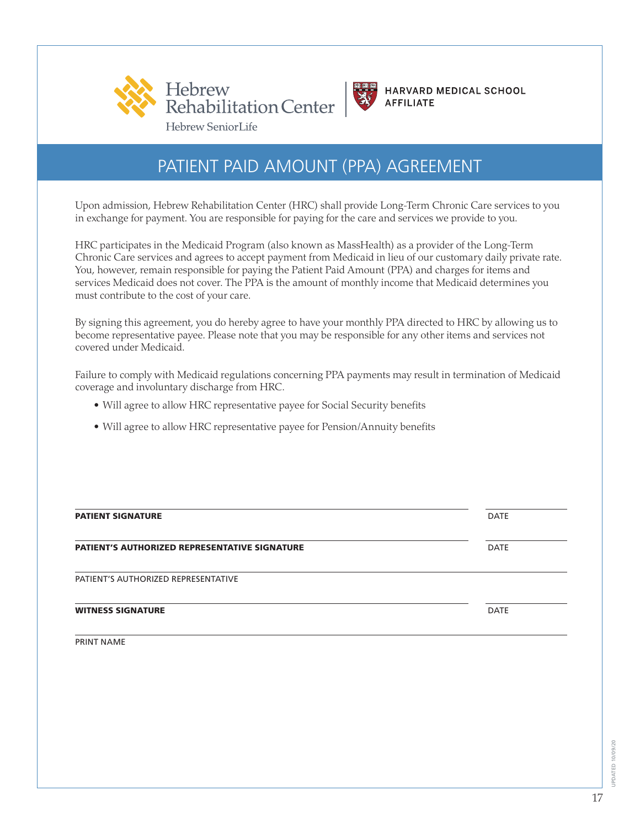



PATIENT PAID AMOUNT (PPA) AGREEMENT

Upon admission, Hebrew Rehabilitation Center (HRC) shall provide Long-Term Chronic Care services to you in exchange for payment. You are responsible for paying for the care and services we provide to you.

HRC participates in the Medicaid Program (also known as MassHealth) as a provider of the Long-Term Chronic Care services and agrees to accept payment from Medicaid in lieu of our customary daily private rate. You, however, remain responsible for paying the Patient Paid Amount (PPA) and charges for items and services Medicaid does not cover. The PPA is the amount of monthly income that Medicaid determines you must contribute to the cost of your care.

By signing this agreement, you do hereby agree to have your monthly PPA directed to HRC by allowing us to become representative payee. Please note that you may be responsible for any other items and services not covered under Medicaid.

Failure to comply with Medicaid regulations concerning PPA payments may result in termination of Medicaid coverage and involuntary discharge from HRC.

- Will agree to allow HRC representative payee for Social Security benefits
- Will agree to allow HRC representative payee for Pension/Annuity benefits

| <b>PATIENT SIGNATURE</b>                             | <b>DATE</b> |
|------------------------------------------------------|-------------|
| <b>PATIENT'S AUTHORIZED REPRESENTATIVE SIGNATURE</b> | <b>DATE</b> |
| PATIENT'S AUTHORIZED REPRESENTATIVE                  |             |
| <b>WITNESS SIGNATURE</b>                             | <b>DATE</b> |

PRINT NAME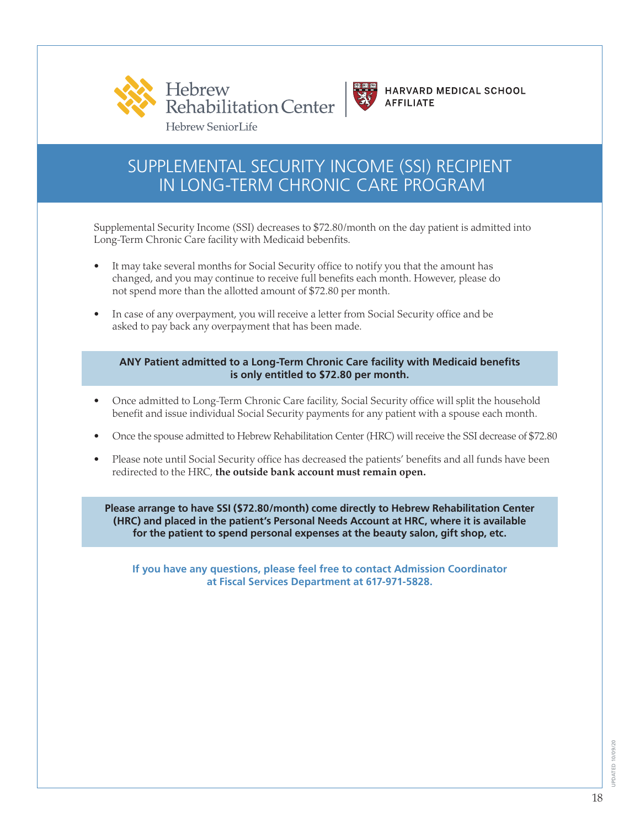



## SUPPLEMENTAL SECURITY INCOME (SSI) RECIPIENT IN LONG-TERM CHRONIC CARE PROGRAM

 Supplemental Security Income (SSI) decreases to \$72.80/month on the day patient is admitted into Long-Term Chronic Care facility with Medicaid bebenfits.

- It may take several months for Social Security office to notify you that the amount has changed, and you may continue to receive full benefits each month. However, please do not spend more than the allotted amount of \$72.80 per month.
- In case of any overpayment, you will receive a letter from Social Security office and be asked to pay back any overpayment that has been made.

#### **ANY Patient admitted to a Long-Term Chronic Care facility with Medicaid benefits is only entitled to \$72.80 per month.**

- Once admitted to Long-Term Chronic Care facility, Social Security office will split the household benefit and issue individual Social Security payments for any patient with a spouse each month.
- Once the spouse admitted to Hebrew Rehabilitation Center (HRC) will receive the SSI decrease of \$72.80
- Please note until Social Security office has decreased the patients' benefits and all funds have been redirected to the HRC, **the outside bank account must remain open.**

**Please arrange to have SSI (\$72.80/month) come directly to Hebrew Rehabilitation Center (HRC) and placed in the patient's Personal Needs Account at HRC, where it is available for the patient to spend personal expenses at the beauty salon, gift shop, etc.** 

**If you have any questions, please feel free to contact Admission Coordinator at Fiscal Services Department at 617-971-5828.**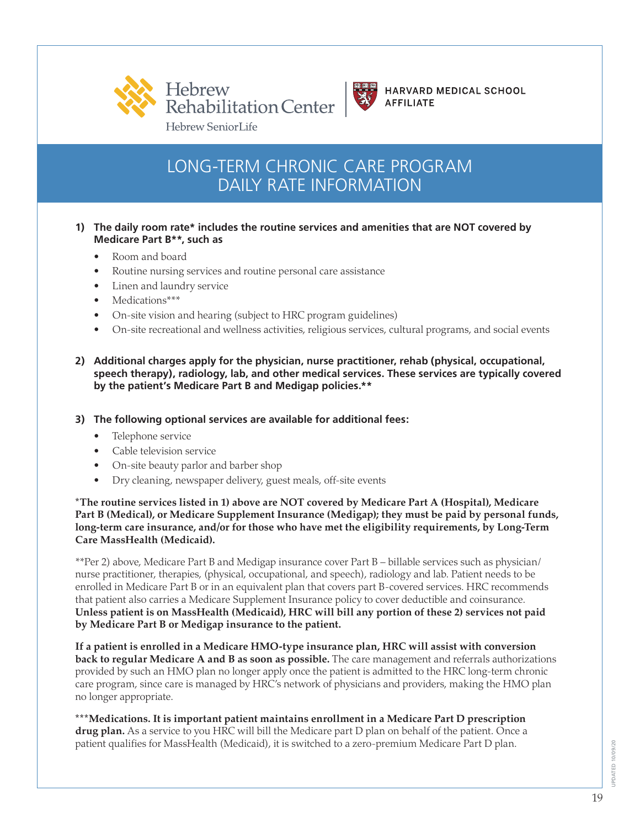



## LONG-TERM CHRONIC CARE PROGRAM DAILY RATE INFORMATION

#### **1) The daily room rate\* includes the routine services and amenities that are NOT covered by Medicare Part B\*\*, such as**

- Room and board
- Routine nursing services and routine personal care assistance
- Linen and laundry service
- Medications\*\*\*
- On-site vision and hearing (subject to HRC program guidelines)
- On-site recreational and wellness activities, religious services, cultural programs, and social events

#### **2) Additional charges apply for the physician, nurse practitioner, rehab (physical, occupational, speech therapy), radiology, lab, and other medical services. These services are typically covered by the patient's Medicare Part B and Medigap policies.\*\***

#### **3) The following optional services are available for additional fees:**

- Telephone service
- Cable television service
- On-site beauty parlor and barber shop
- Dry cleaning, newspaper delivery, guest meals, off-site events

**\*The routine services listed in 1) above are NOT covered by Medicare Part A (Hospital), Medicare Part B (Medical), or Medicare Supplement Insurance (Medigap); they must be paid by personal funds, long-term care insurance, and/or for those who have met the eligibility requirements, by Long-Term Care MassHealth (Medicaid).** 

\*\*Per 2) above, Medicare Part B and Medigap insurance cover Part B – billable services such as physician/ nurse practitioner, therapies, (physical, occupational, and speech), radiology and lab. Patient needs to be enrolled in Medicare Part B or in an equivalent plan that covers part B-covered services. HRC recommends that patient also carries a Medicare Supplement Insurance policy to cover deductible and coinsurance. **Unless patient is on MassHealth (Medicaid), HRC will bill any portion of these 2) services not paid by Medicare Part B or Medigap insurance to the patient.**

**If a patient is enrolled in a Medicare HMO-type insurance plan, HRC will assist with conversion back to regular Medicare A and B as soon as possible.** The care management and referrals authorizations provided by such an HMO plan no longer apply once the patient is admitted to the HRC long-term chronic care program, since care is managed by HRC's network of physicians and providers, making the HMO plan no longer appropriate.

**\*\*\*Medications. It is important patient maintains enrollment in a Medicare Part D prescription drug plan.** As a service to you HRC will bill the Medicare part D plan on behalf of the patient. Once a patient qualifies for MassHealth (Medicaid), it is switched to a zero-premium Medicare Part D plan.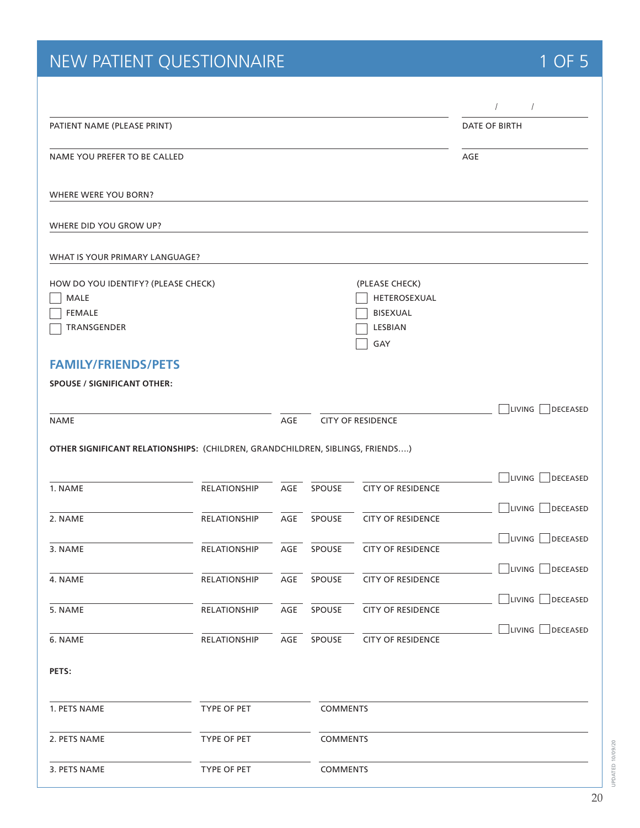# NEW PATIENT QUESTIONNAIRE **1 OF 5**

|                                                                                    |                                                                               |     |                 |                                                              | $\prime$             | $\sqrt{2}$                       |
|------------------------------------------------------------------------------------|-------------------------------------------------------------------------------|-----|-----------------|--------------------------------------------------------------|----------------------|----------------------------------|
| PATIENT NAME (PLEASE PRINT)                                                        |                                                                               |     |                 |                                                              | <b>DATE OF BIRTH</b> |                                  |
| NAME YOU PREFER TO BE CALLED                                                       |                                                                               |     |                 |                                                              | AGE                  |                                  |
| WHERE WERE YOU BORN?                                                               |                                                                               |     |                 |                                                              |                      |                                  |
| WHERE DID YOU GROW UP?                                                             |                                                                               |     |                 |                                                              |                      |                                  |
| WHAT IS YOUR PRIMARY LANGUAGE?                                                     |                                                                               |     |                 |                                                              |                      |                                  |
| HOW DO YOU IDENTIFY? (PLEASE CHECK)<br><b>MALE</b><br><b>FEMALE</b><br>TRANSGENDER |                                                                               |     |                 | (PLEASE CHECK)<br>HETEROSEXUAL<br>BISEXUAL<br>LESBIAN<br>GAY |                      |                                  |
| <b>FAMILY/FRIENDS/PETS</b><br><b>SPOUSE / SIGNIFICANT OTHER:</b>                   |                                                                               |     |                 |                                                              |                      |                                  |
| <b>NAME</b>                                                                        |                                                                               | AGE |                 | <b>CITY OF RESIDENCE</b>                                     |                      | <b>LIVING</b><br><b>DECEASED</b> |
|                                                                                    | OTHER SIGNIFICANT RELATIONSHIPS: (CHILDREN, GRANDCHILDREN, SIBLINGS, FRIENDS) |     |                 |                                                              |                      |                                  |
| 1. NAME                                                                            | <b>RELATIONSHIP</b>                                                           | AGE | SPOUSE          | <b>CITY OF RESIDENCE</b>                                     |                      | LIVING<br><b>DECEASED</b>        |
| 2. NAME                                                                            | <b>RELATIONSHIP</b>                                                           | AGE | SPOUSE          | <b>CITY OF RESIDENCE</b>                                     |                      | <b>LIVING</b><br>DECEASED        |
| 3. NAME                                                                            | <b>RELATIONSHIP</b>                                                           | AGE | SPOUSE          | <b>CITY OF RESIDENCE</b>                                     |                      | LIVING<br><b>DECEASED</b>        |
| 4. NAME                                                                            | RELATIONSHIP                                                                  | AGE | SPOUSE          | <b>CITY OF RESIDENCE</b>                                     |                      | LIVING<br>DECEASED               |
| 5. NAME                                                                            | RELATIONSHIP                                                                  | AGE | SPOUSE          | <b>CITY OF RESIDENCE</b>                                     |                      | $\Box$ Living $[$<br>DECEASED    |
| 6. NAME                                                                            | RELATIONSHIP                                                                  | AGE | SPOUSE          | <b>CITY OF RESIDENCE</b>                                     |                      | LIVING<br>DECEASED               |
| PETS:                                                                              |                                                                               |     |                 |                                                              |                      |                                  |
| 1. PETS NAME                                                                       | TYPE OF PET                                                                   |     | <b>COMMENTS</b> |                                                              |                      |                                  |
| 2. PETS NAME                                                                       | TYPE OF PET                                                                   |     | <b>COMMENTS</b> |                                                              |                      |                                  |
| 3. PETS NAME                                                                       | TYPE OF PET                                                                   |     | <b>COMMENTS</b> |                                                              |                      |                                  |

UPDATED 10/09/20

UPDATED 10/09/20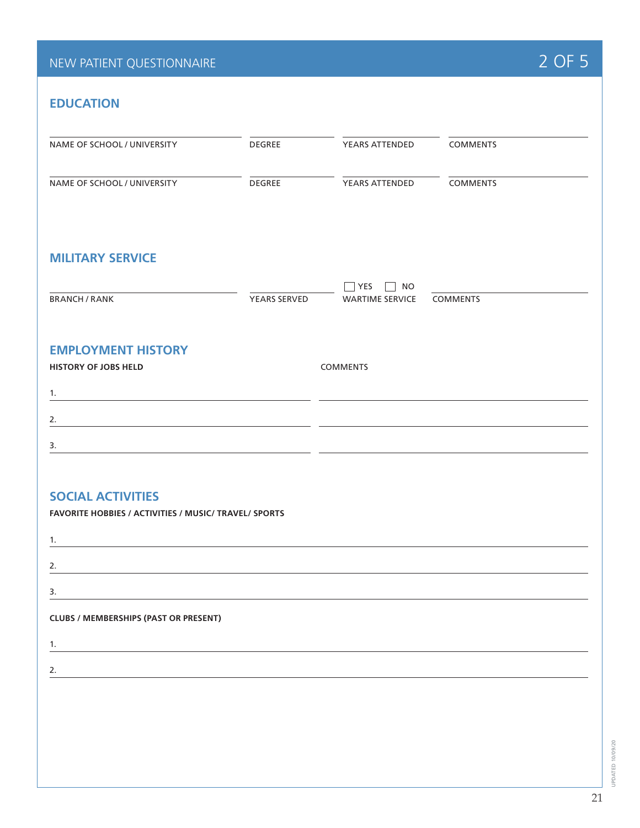## NEW PATIENT QUESTIONNAIRE **2 OF 5**

## **EDUCATION**

| NAME OF SCHOOL / UNIVERSITY                                                                                                                                                                                                                | <b>DEGREE</b> | YEARS ATTENDED                                               | <b>COMMENTS</b> |
|--------------------------------------------------------------------------------------------------------------------------------------------------------------------------------------------------------------------------------------------|---------------|--------------------------------------------------------------|-----------------|
|                                                                                                                                                                                                                                            |               |                                                              |                 |
| NAME OF SCHOOL / UNIVERSITY                                                                                                                                                                                                                | <b>DEGREE</b> | YEARS ATTENDED                                               | <b>COMMENTS</b> |
| <b>MILITARY SERVICE</b>                                                                                                                                                                                                                    |               |                                                              |                 |
| <b>BRANCH / RANK</b>                                                                                                                                                                                                                       | YEARS SERVED  | YES<br><b>NO</b><br>$\blacksquare$<br><b>WARTIME SERVICE</b> | <b>COMMENTS</b> |
| <b>EMPLOYMENT HISTORY</b>                                                                                                                                                                                                                  |               |                                                              |                 |
| <b>HISTORY OF JOBS HELD</b>                                                                                                                                                                                                                |               | <b>COMMENTS</b>                                              |                 |
| 1.<br><u> 1989 - Andrea Stein, Amerikaansk politiker († 1908)</u>                                                                                                                                                                          |               |                                                              |                 |
| 2.                                                                                                                                                                                                                                         |               |                                                              |                 |
| 3.<br><u> 1989 - Johann Stein, mars and de Britain (b. 19</u>                                                                                                                                                                              |               |                                                              |                 |
| <b>SOCIAL ACTIVITIES</b><br>FAVORITE HOBBIES / ACTIVITIES / MUSIC/ TRAVEL/ SPORTS<br>1.<br><u> 1989 - Johann Stein, mars an deus Amerikaansk kommunister (</u>                                                                             |               |                                                              |                 |
| 2.                                                                                                                                                                                                                                         |               |                                                              |                 |
| 3.                                                                                                                                                                                                                                         |               |                                                              |                 |
| <b>CLUBS / MEMBERSHIPS (PAST OR PRESENT)</b>                                                                                                                                                                                               |               |                                                              |                 |
| 1.<br><u> 1980 - Jan Sterling Sterling, mars and de la proposition of the state of the state of the state of the state of the state of the state of the state of the state of the state of the state of the state of the state of the </u> |               |                                                              |                 |
| 2.                                                                                                                                                                                                                                         |               |                                                              |                 |
|                                                                                                                                                                                                                                            |               |                                                              |                 |
|                                                                                                                                                                                                                                            |               |                                                              |                 |
|                                                                                                                                                                                                                                            |               |                                                              |                 |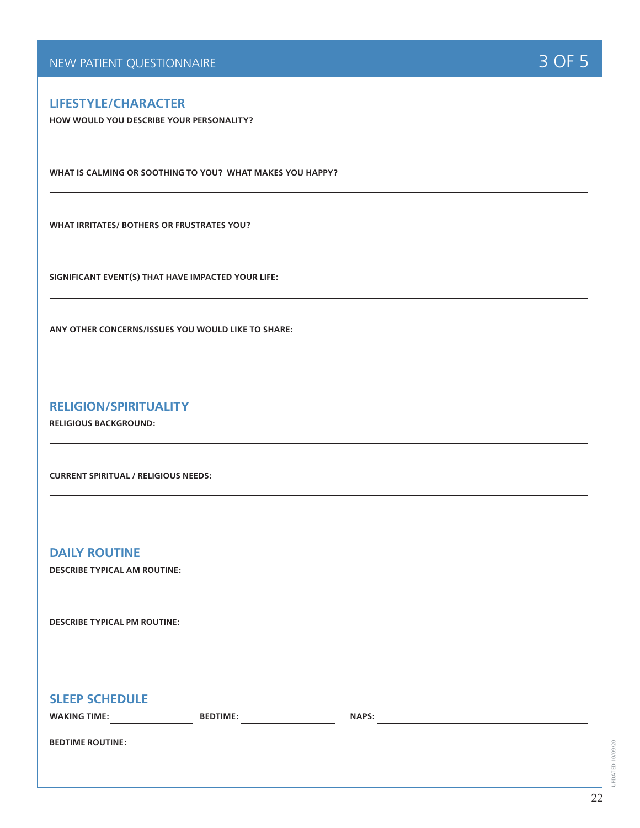#### **LIFESTYLE/CHARACTER**

**HOW WOULD YOU DESCRIBE YOUR PERSONALITY?**

**WHAT IS CALMING OR SOOTHING TO YOU? WHAT MAKES YOU HAPPY?**

**WHAT IRRITATES/ BOTHERS OR FRUSTRATES YOU?**

**SIGNIFICANT EVENT(S) THAT HAVE IMPACTED YOUR LIFE:**

**ANY OTHER CONCERNS/ISSUES YOU WOULD LIKE TO SHARE:**

#### **RELIGION/SPIRITUALITY**

**RELIGIOUS BACKGROUND:**

**CURRENT SPIRITUAL / RELIGIOUS NEEDS:**

#### **DAILY ROUTINE**

**DESCRIBE TYPICAL AM ROUTINE:**

**DESCRIBE TYPICAL PM ROUTINE:**

#### **SLEEP SCHEDULE**

| <b>WAKING TIME:</b> |  |
|---------------------|--|
|                     |  |

**WAPS: WARE: WARE: WARE: WARE: WARE: WARE: WARE: WARE: WARE: WARE: WARE: WARE: WARE: WARE: WARE: WARE: WARE: WARE:**  $\frac{1}{2}$ 

**BEDTIME ROUTINE:**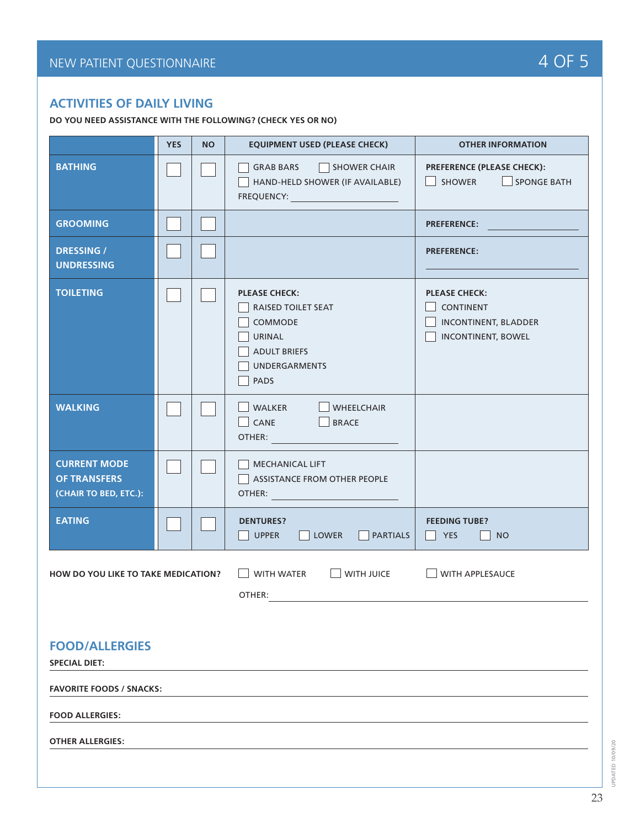### **ACTIVITIES OF DAILY LIVING**

**DO YOU NEED ASSISTANCE WITH THE FOLLOWING? (CHECK YES OR NO)**

|                                                                     | <b>YES</b> | <b>NO</b> | <b>EQUIPMENT USED (PLEASE CHECK)</b>                                                                                                                                                                                                                                                                 | <b>OTHER INFORMATION</b>                                          |
|---------------------------------------------------------------------|------------|-----------|------------------------------------------------------------------------------------------------------------------------------------------------------------------------------------------------------------------------------------------------------------------------------------------------------|-------------------------------------------------------------------|
| <b>BATHING</b>                                                      |            |           | SHOWER CHAIR<br><b>GRAB BARS</b><br>HAND-HELD SHOWER (IF AVAILABLE)<br>FREQUENCY: Network and the state of the state of the state of the state of the state of the state of the state of the state of the state of the state of the state of the state of the state of the state of the state of the | <b>PREFERENCE (PLEASE CHECK):</b><br>SHOWER<br>$\Box$ SPONGE BATH |
| <b>GROOMING</b>                                                     |            |           |                                                                                                                                                                                                                                                                                                      | <b>PREFERENCE:</b>                                                |
| <b>DRESSING /</b><br><b>UNDRESSING</b>                              |            |           |                                                                                                                                                                                                                                                                                                      | <b>PREFERENCE:</b>                                                |
| <b>TOILETING</b>                                                    |            |           | <b>PLEASE CHECK:</b><br><b>PLEASE CHECK:</b><br>RAISED TOILET SEAT<br><b>CONTINENT</b><br><b>INCONTINENT, BLADDER</b><br>COMMODE<br><b>INCONTINENT, BOWEL</b><br>URINAL<br><b>ADULT BRIEFS</b><br><b>UNDERGARMENTS</b><br><b>PADS</b>                                                                |                                                                   |
| <b>WALKING</b>                                                      |            |           | WALKER<br><b>WHEELCHAIR</b><br>CANE<br>BRACE<br>OTHER: Andrew Management                                                                                                                                                                                                                             |                                                                   |
| <b>CURRENT MODE</b><br><b>OF TRANSFERS</b><br>(CHAIR TO BED, ETC.): |            |           | <b>MECHANICAL LIFT</b><br>ASSISTANCE FROM OTHER PEOPLE<br>OTHER: And the state of the state of the state of the state of the state of the state of the state of the state of the state of the state of the state of the state of the state of the state of the state of the state of the             |                                                                   |
| <b>EATING</b>                                                       |            |           | <b>DENTURES?</b><br><b>PARTIALS</b><br><b>UPPER</b><br><b>LOWER</b>                                                                                                                                                                                                                                  | <b>FEEDING TUBE?</b><br><b>YES</b><br><b>NO</b>                   |
| HOW DO YOU LIKE TO TAKE MEDICATION?                                 |            |           | <b>WITH WATER</b><br><b>WITH JUICE</b><br>OTHER:                                                                                                                                                                                                                                                     | WITH APPLESAUCE                                                   |
| <b>FOOD/ALLERGIES</b><br><b>SPECIAL DIET:</b>                       |            |           |                                                                                                                                                                                                                                                                                                      |                                                                   |
| <b>FAVORITE FOODS / SNACKS:</b>                                     |            |           |                                                                                                                                                                                                                                                                                                      |                                                                   |
| <b>FOOD ALLERGIES:</b>                                              |            |           |                                                                                                                                                                                                                                                                                                      |                                                                   |
| <b>OTHER ALLERGIES:</b>                                             |            |           |                                                                                                                                                                                                                                                                                                      |                                                                   |
|                                                                     |            |           |                                                                                                                                                                                                                                                                                                      |                                                                   |